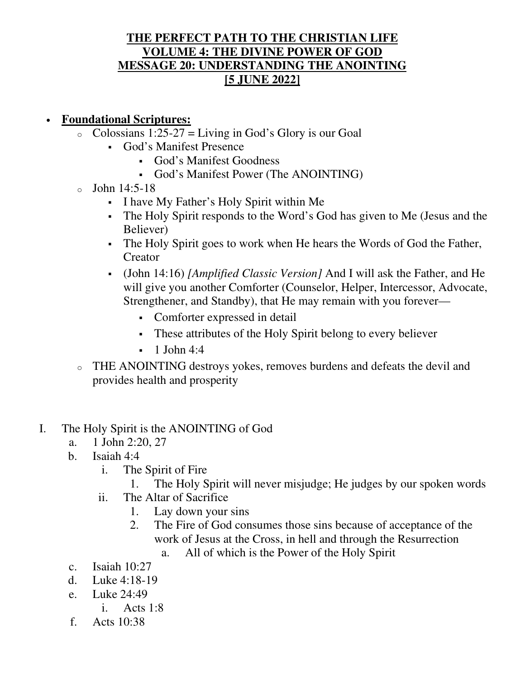## **THE PERFECT PATH TO THE CHRISTIAN LIFE VOLUME 4: THE DIVINE POWER OF GOD MESSAGE 20: UNDERSTANDING THE ANOINTING [5 JUNE 2022]**

## • **Foundational Scriptures:**

- $\circ$  Colossians 1:25-27 = Living in God's Glory is our Goal
	- God's Manifest Presence
		- God's Manifest Goodness
		- God's Manifest Power (The ANOINTING)
- $\circ$  John 14:5-18
	- I have My Father's Holy Spirit within Me
	- The Holy Spirit responds to the Word's God has given to Me (Jesus and the Believer)
	- The Holy Spirit goes to work when He hears the Words of God the Father, Creator
	- (John 14:16) *[Amplified Classic Version]* And I will ask the Father, and He will give you another Comforter (Counselor, Helper, Intercessor, Advocate, Strengthener, and Standby), that He may remain with you forever—
		- Comforter expressed in detail
		- These attributes of the Holy Spirit belong to every believer
		- $-1$  John 4:4
- o THE ANOINTING destroys yokes, removes burdens and defeats the devil and provides health and prosperity
- I. The Holy Spirit is the ANOINTING of God
	- a. 1 John 2:20, 27
	- b. Isaiah 4:4
		- i. The Spirit of Fire
			- 1. The Holy Spirit will never misjudge; He judges by our spoken words
		- ii. The Altar of Sacrifice
			- 1. Lay down your sins
			- 2. The Fire of God consumes those sins because of acceptance of the work of Jesus at the Cross, in hell and through the Resurrection
				- a. All of which is the Power of the Holy Spirit
	- c. Isaiah 10:27
	- d. Luke 4:18-19
	- e. Luke 24:49
		- i. Acts 1:8
	- f. Acts 10:38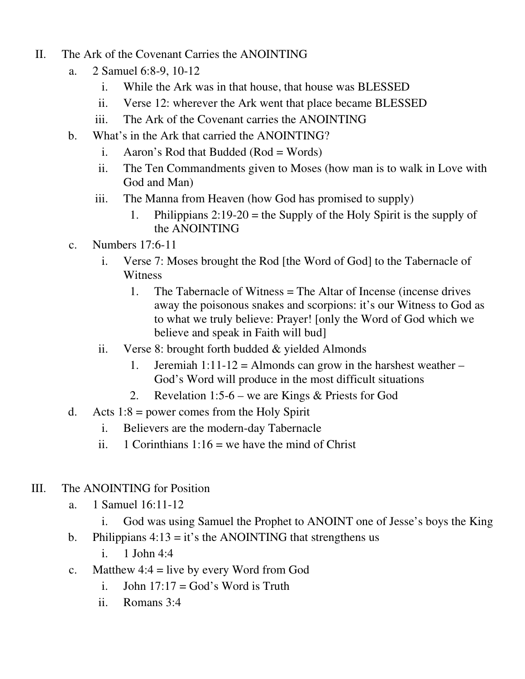- II. The Ark of the Covenant Carries the ANOINTING
	- a. 2 Samuel 6:8-9, 10-12
		- i. While the Ark was in that house, that house was BLESSED
		- ii. Verse 12: wherever the Ark went that place became BLESSED
		- iii. The Ark of the Covenant carries the ANOINTING
	- b. What's in the Ark that carried the ANOINTING?
		- i. Aaron's Rod that Budded  $(Rod = Words)$
		- ii. The Ten Commandments given to Moses (how man is to walk in Love with God and Man)
		- iii. The Manna from Heaven (how God has promised to supply)
			- 1. Philippians  $2:19-20$  = the Supply of the Holy Spirit is the supply of the ANOINTING
	- c. Numbers 17:6-11
		- i. Verse 7: Moses brought the Rod [the Word of God] to the Tabernacle of Witness
			- 1. The Tabernacle of Witness = The Altar of Incense (incense drives away the poisonous snakes and scorpions: it's our Witness to God as to what we truly believe: Prayer! [only the Word of God which we believe and speak in Faith will bud]
		- ii. Verse 8: brought forth budded & yielded Almonds
			- 1. Jeremiah 1:11-12 = Almonds can grow in the harshest weather  $-$ God's Word will produce in the most difficult situations
			- 2. Revelation 1:5-6 we are Kings & Priests for God
	- d. Acts  $1:8$  = power comes from the Holy Spirit
		- i. Believers are the modern-day Tabernacle
		- ii. 1 Corinthians  $1:16$  = we have the mind of Christ
- III. The ANOINTING for Position
	- a. 1 Samuel 16:11-12
		- i. God was using Samuel the Prophet to ANOINT one of Jesse's boys the King
	- b. Philippians  $4:13 = it$ 's the ANOINTING that strengthens us
		- i. 1 John 4:4
	- c. Matthew  $4:4 =$  live by every Word from God
		- i. John  $17:17 = God$ 's Word is Truth
		- ii. Romans 3:4